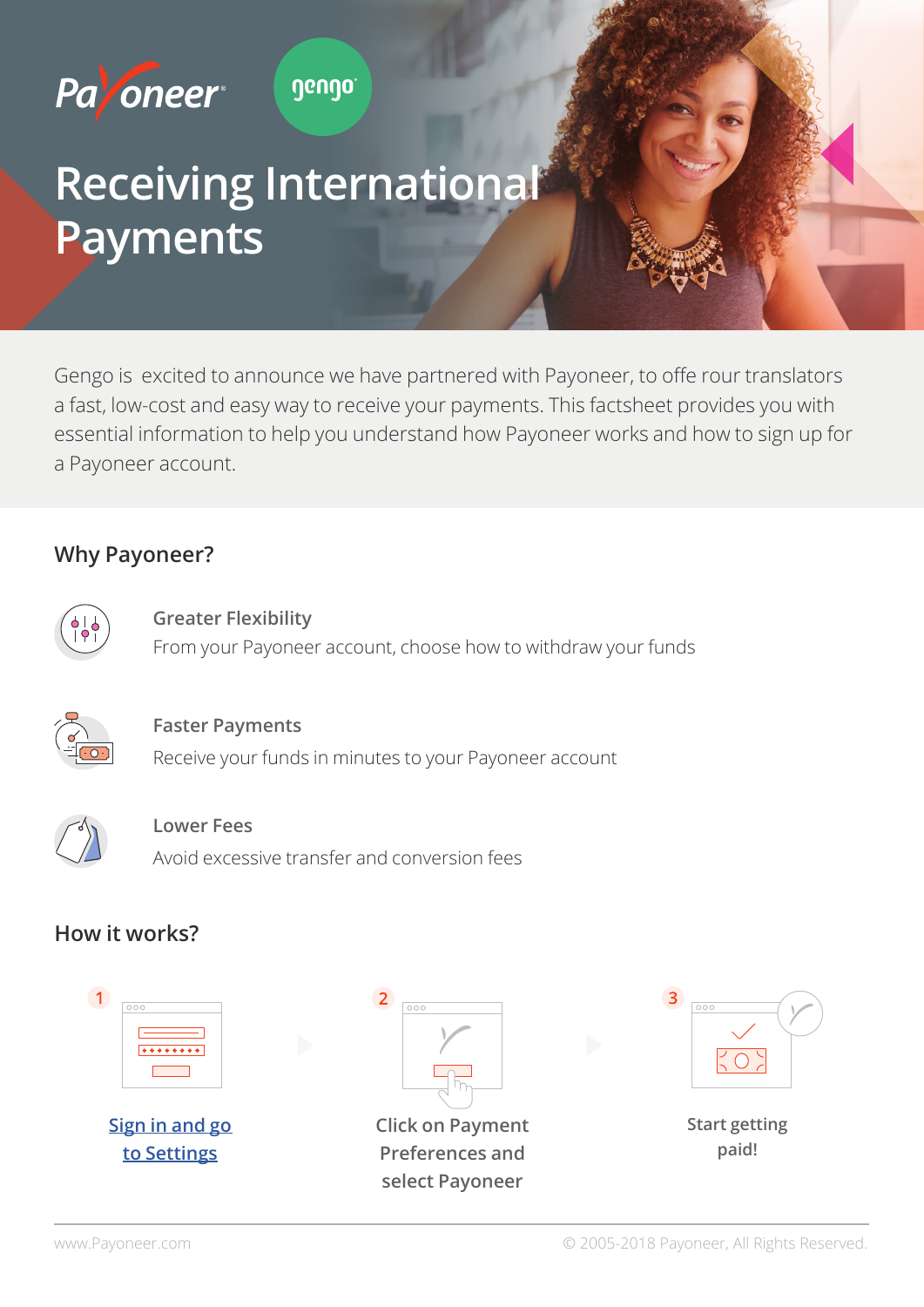

# **Receiving International Payments**

Gengo is excited to announce we have partnered with Payoneer, to offe rour translators a fast, low-cost and easy way to receive your payments. This factsheet provides you with essential information to help you understand how Payoneer works and how to sign up for a Payoneer account.

## **Why Payoneer?**



**Greater Flexibility** From your Payoneer account, choose how to withdraw your funds



#### **Faster Payments**

Receive your funds in minutes to your Payoneer account



#### **Lower** Fees

Avoid excessive transfer and conversion fees

# **How it works?**



**Sign in and go to** Settings



**Click on Payment Preferences** and select Payoneer

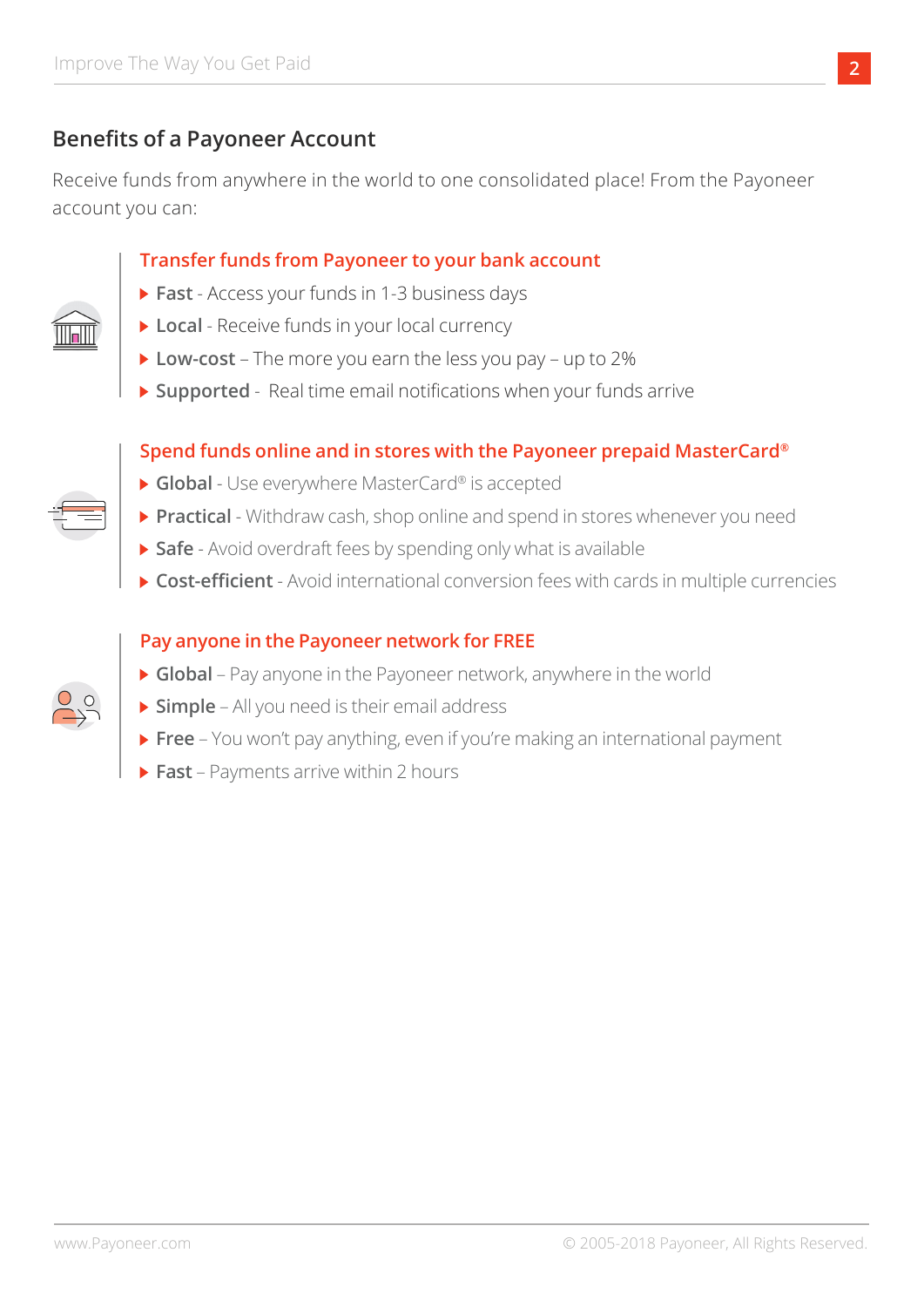# **Benefits of a Payoneer Account**

Receive funds from anywhere in the world to one consolidated place! From the Payoneer account you can:

#### **Transfer funds from Payoneer to your bank account**

- **Fast** Access your funds in 1-3 business days
- **Local** Receive funds in your local currency
- **Low-cost** The more you earn the less you pay up to 2%
- **> Supported** Real time email notifications when your funds arrive

### Spend funds online and in stores with the Payoneer prepaid MasterCard<sup>®</sup>

- **Global** Use everywhere MasterCard<sup>®</sup> is accepted
- **Practical** Withdraw cash, shop online and spend in stores whenever you need
- **> Safe** Avoid overdraft fees by spending only what is available
- **Cost-efficient** Avoid international conversion fees with cards in multiple currencies

### **Pay anyone in the Payoneer network for FREE**

- ▶ Global Pay anyone in the Payoneer network, anywhere in the world
- **> Simple** All you need is their email address
- **Payment international and making international payment international payment**
- **Fast** Payments arrive within 2 hours



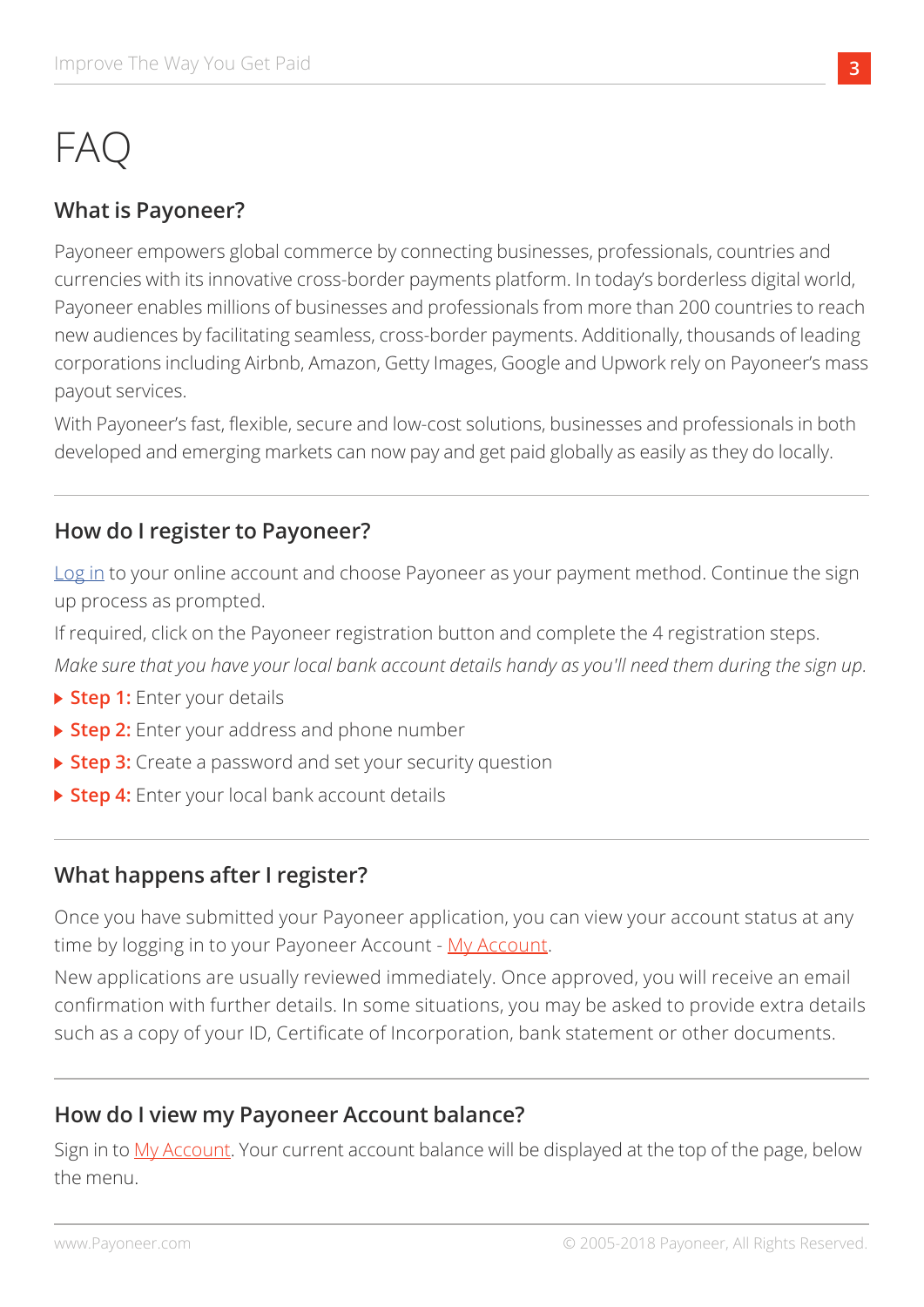# FAQ

# **What is Payoneer?**

Payoneer empowers global commerce by connecting businesses, professionals, countries and currencies with its innovative cross-border payments platform. In today's borderless digital world, Payoneer enables millions of businesses and professionals from more than 200 countries to reach new audiences by facilitating seamless, cross-border payments. Additionally, thousands of leading corporations including Airbnb, Amazon, Getty Images, Google and Upwork rely on Payoneer's mass payout services.

With Payoneer's fast, flexible, secure and low-cost solutions, businesses and professionals in both developed and emerging markets can now pay and get paid globally as easily as they do locally.

# **How do I register to Payoneer?**

Log in to your online account and choose Payoneer as your payment method. Continue the sign up process as prompted.

If required, click on the Payoneer registration button and complete the 4 registration steps.

*Make sure that you have your local bank account details handy as you'll need them during the sign up.* 

- **Details 1: Enter your details**
- ▶ Step 2: Enter your address and phone number
- ▶ Step 3: Create a password and set your security question
- ▶ Step 4: Enter your local bank account details

# **What happens after I register?**

Once you have submitted your Payoneer application, you can view your account status at any time by logging in to your Payoneer Account - My Account.

New applications are usually reviewed immediately. Once approved, you will receive an email confirmation with further details. In some situations, you may be asked to provide extra details such as a copy of your ID, Certificate of Incorporation, bank statement or other documents.

# **How do I view my Payoneer Account balance?**

Sign in to My Account. Your current account balance will be displayed at the top of the page, below the menu